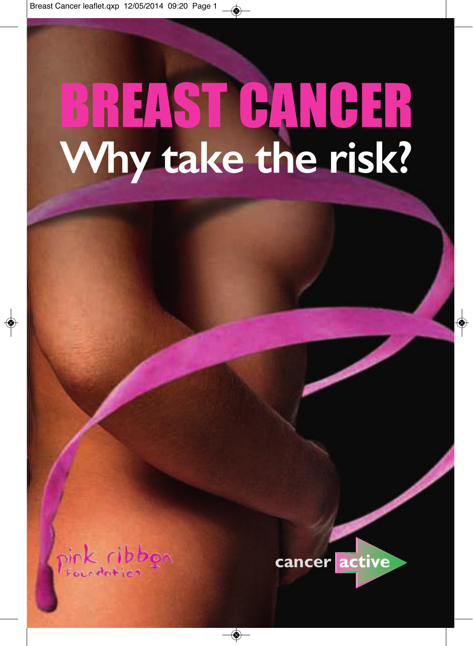### BREAST CANCER **Why take the risk?**

pink ribbon

 $\bigcirc$ 



 $\Rightarrow$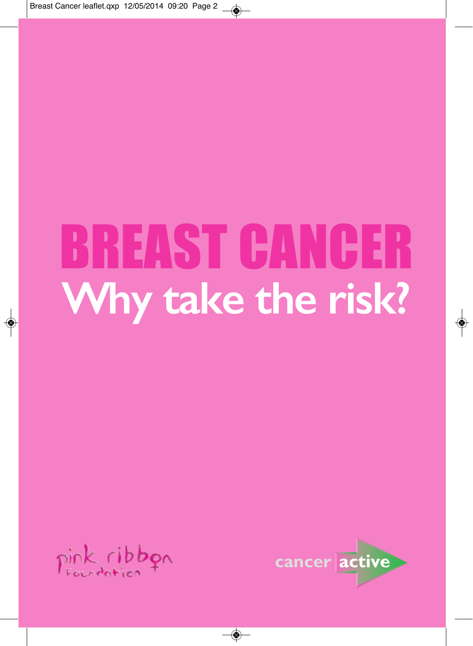### BREAST CANCER **Why take the risk?**

◈



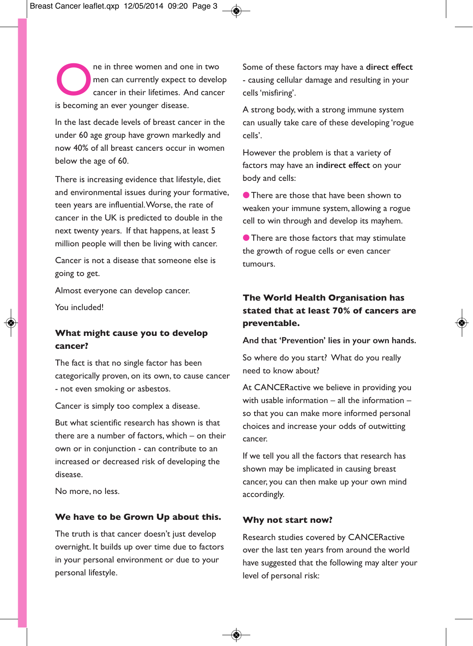The in three women and one in two<br>
men can currently expect to develop<br>
cancer in their lifetimes. And cancer<br>
is becoming an over vour certain disease men can currently expect to develop is becoming an ever younger disease.

In the last decade levels of breast cancer in the under 60 age group have grown markedly and now 40% of all breast cancers occur in women below the age of 60.

There is increasing evidence that lifestyle, diet and environmental issues during your formative, teen years are influential.Worse, the rate of cancer in the UK is predicted to double in the next twenty years. If that happens, at least 5 million people will then be living with cancer.

Cancer is not a disease that someone else is going to get.

Almost everyone can develop cancer.

You included!

### **What might cause you to develop cancer?**

The fact is that no single factor has been categorically proven, on its own, to cause cancer - not even smoking or asbestos.

Cancer is simply too complex a disease.

But what scientific research has shown is that there are a number of factors, which – on their own or in conjunction - can contribute to an increased or decreased risk of developing the disease.

No more, no less.

#### **We have to be Grown Up about this.**

The truth is that cancer doesn't just develop overnight. It builds up over time due to factors in your personal environment or due to your personal lifestyle.

Some of these factors may have a **direct effect** - causing cellular damage and resulting in your cells'misfiring'.

A strong body, with a strong immune system can usually take care of these developing 'rogue cells'.

However the problem is that a variety of factors may have an **indirect effect** on your body and cells:

**I** There are those that have been shown to weaken your immune system, allowing a rogue cell to win through and develop its mayhem.

**I** There are those factors that may stimulate the growth of rogue cells or even cancer tumours.

### **The World Health Organisation has stated that at least 70% of cancers are preventable.**

**And that 'Prevention' lies in your own hands.**

So where do you start? What do you really need to know about?

At CANCERactive we believe in providing you with usable information – all the information – so that you can make more informed personal choices and increase your odds of outwitting cancer.

If we tell you all the factors that research has shown may be implicated in causing breast cancer, you can then make up your own mind accordingly.

#### **Why not start now?**

Research studies covered by CANCERactive over the last ten years from around the world have suggested that the following may alter your level of personal risk: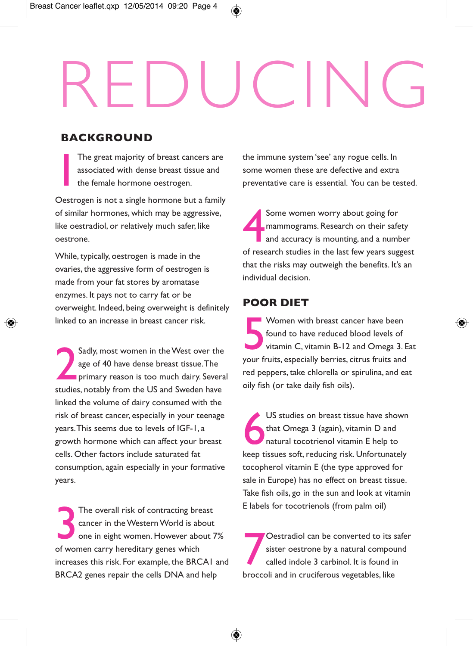## REDUCING

### **BACKGROUND**

 $\prod_{i=1}^{n}$ The great majority of breast cancers are associated with dense breast tissue and the female hormone oestrogen.

Oestrogen is not a single hormone but a family of similar hormones, which may be aggressive, like oestradiol, or relatively much safer, like oestrone.

While, typically, oestrogen is made in the ovaries, the aggressive form of oestrogen is made from your fat stores by aromatase enzymes. It pays not to carry fat or be overweight. Indeed, being overweight is definitely linked to an increase in breast cancer risk.

2 Sadly, most women in theWest over the age of 40 have dense breast tissue.The **primary reason is too much dairy. Several** studies, notably from the US and Sweden have linked the volume of dairy consumed with the risk of breast cancer, especially in your teenage years.This seems due to levels of IGF-1, a growth hormone which can affect your breast cells. Other factors include saturated fat consumption, again especially in your formative years.

3 The overall risk of contracting breast cancer in theWesternWorld is about one in eight women. However about 7% of women carry hereditary genes which increases this risk. For example, the BRCA1 and BRCA2 genes repair the cells DNA and help

the immune system 'see' any rogue cells. In some women these are defective and extra preventative care is essential. You can be tested.

4 Some women worry about going for mammograms. Research on their safety and accuracy is mounting, and a number of research studies in the last few years suggest that the risks may outweigh the benefits. It's an individual decision.

### **POOR DIET**

5 Women with breast cancer have been found to have reduced blood levels of vitamin C, vitamin B-12 and Omega 3. Eat your fruits, especially berries, citrus fruits and red peppers, take chlorella or spirulina, and eat oily fish (or take daily fish oils).

US studies on breast tissue have shown that Omega 3 (again), vitamin D and natural tocotrienol vitamin E help to keep tissues soft, reducing risk. Unfortunately tocopherol vitamin E (the type approved for sale in Europe) has no effect on breast tissue. Take fish oils, go in the sun and look at vitamin E labels for tocotrienols (from palm oil)

7 Oestradiol can be converted to its safer sister oestrone by a natural compound called indole 3 carbinol. It is found in broccoli and in cruciferous vegetables, like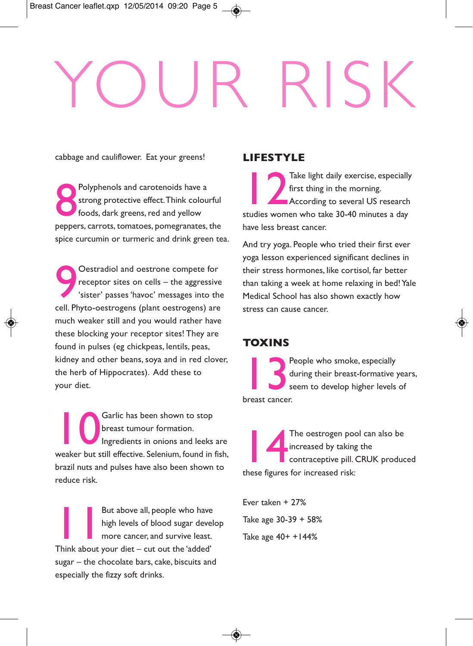# YOUR RISK

cabbage and cauliflower. Eat your greens!

8 Polyphenols and carotenoids have a strong protective effect.Think colourful foods, dark greens, red and yellow peppers, carrots, tomatoes, pomegranates, the spice curcumin or turmeric and drink green tea.

9 Oestradiol and oestrone compete for receptor sites on cells – the aggressive 'sister' passes 'havoc' messages into the cell. Phyto-oestrogens (plant oestrogens) are much weaker still and you would rather have these blocking your receptor sites! They are found in pulses (eg chickpeas, lentils, peas, kidney and other beans, soya and in red clover, the herb of Hippocrates). Add these to your diet.

10 Garlic has been shown to stop breast tumour formation. Ingredients in onions and leeks are weaker but still effective. Selenium, found in fish, brazil nuts and pulses have also been shown to reduce risk.

11 But above all, people who have high levels of blood sugar develop more cancer, and survive least. Think about your diet – cut out the 'added' sugar – the chocolate bars, cake, biscuits and especially the fizzy soft drinks.

### **LIFESTYLE**

12 Take light daily exercise, especially first thing in the morning. **According to several US research** studies women who take 30-40 minutes a day have less breast cancer.

And try yoga. People who tried their first ever yoga lesson experienced significant declines in their stress hormones, like cortisol, far better than taking a week at home relaxing in bed! Yale Medical School has also shown exactly how stress can cause cancer.

### **TOXINS**

13 People who smoke, especially during their breast-formative years, seem to develop higher levels of breast cancer.

14 The oestrogen pool can also be increased by taking the contraceptive pill. CRUK produced these figures for increased risk:

Ever taken + 27% Take age 30-39 + 58% Take age 40+ +144%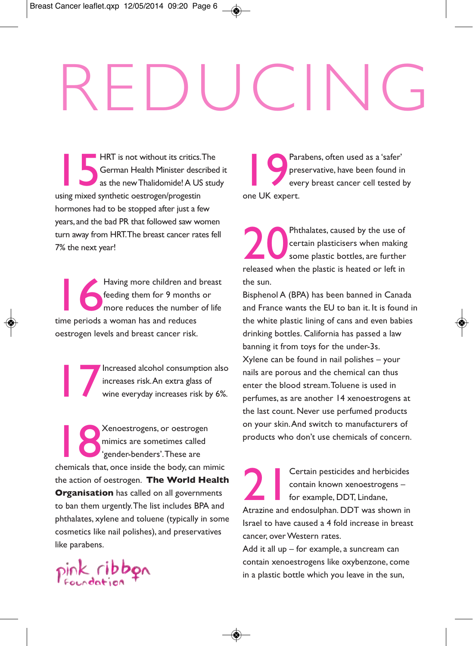# REDUCING

**118 HRT** is not without its critics.<br> **15 German Health Minister descention Synthetic oestrogen/progestin<br>
using mixed synthetic oestrogen/progestin** HRT is not without its critics.The German Health Minister described it as the newThalidomide!A US study hormones had to be stopped after just a few years, and the bad PR that followed saw women turn away from HRT.The breast cancer rates fell 7% the next year!

Having more children and<br>
feeding them for 9 month<br>
more reduces the number<br>
time periods a woman has and reduces Having more children and breast feeding them for 9 months or more reduces the number of life oestrogen levels and breast cancer risk.

Increased alcohol consumption also<br>increases risk.<br>An extra glass of<br>wine everyday increases risk by 6%. increases risk.An extra glass of

18 Xenoestrogens, or oestrogen mimics are sometimes called 'gender-benders'.These are chemicals that, once inside the body, can mimic the action of oestrogen. **The World Health Organisation** has called on all governments to ban them urgently.The list includes BPA and phthalates, xylene and toluene (typically in some cosmetics like nail polishes), and preservatives like parabens.



Par<br>
one UK expert. Parabens, often used as a 'safer' preservative, have been found in every breast cancer cell tested by

20 Phthalates, caused by the use of certain plasticisers when making some plastic bottles, are further released when the plastic is heated or left in the sun.

Bisphenol A (BPA) has been banned in Canada and France wants the EU to ban it. It is found in the white plastic lining of cans and even babies drinking bottles. California has passed a law banning it from toys for the under-3s. Xylene can be found in nail polishes – your nails are porous and the chemical can thus enter the blood stream.Toluene is used in perfumes, as are another 14 xenoestrogens at the last count. Never use perfumed products on your skin.And switch to manufacturers of products who don't use chemicals of concern.

**21 Certain pesticides and herbicides**<br>contain known xenoestrogens –<br>for example, DDT, Lindane,<br>Atrazine and endosulphan. DDT was shown in Certain pesticides and herbicides contain known xenoestrogens – for example, DDT, Lindane, Israel to have caused a 4 fold increase in breast cancer, over Western rates.

Add it all up – for example, a suncream can contain xenoestrogens like oxybenzone, come in a plastic bottle which you leave in the sun,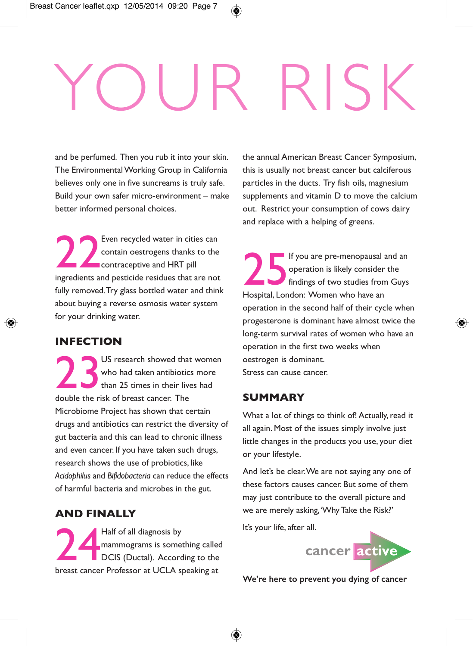## YOUR RISK

and be perfumed. Then you rub it into your skin. The EnvironmentalWorking Group in California believes only one in five suncreams is truly safe. Build your own safer micro-environment – make better informed personal choices.

22 Even recycled water in cities can contain oestrogens thanks to the contraceptive and HRT pill ingredients and pesticide residues that are not fully removed.Try glass bottled water and think about buying a reverse osmosis water system for your drinking water.

### **INFECTION**

US research showed that<br>who had taken antibiotic<br>double the risk of breast cancer. The US research showed that women who had taken antibiotics more than 25 times in their lives had Microbiome Project has shown that certain drugs and antibiotics can restrict the diversity of gut bacteria and this can lead to chronic illness and even cancer. If you have taken such drugs, research shows the use of probiotics, like *Acidophilus* and *Bifidobacteria* can reduce the effects of harmful bacteria and microbes in the gut.

### **AND FINALLY**

24 Half of all diagnosis by mammograms is something called DCIS (Ductal). According to the breast cancer Professor at UCLA speaking at

the annual American Breast Cancer Symposium, this is usually not breast cancer but calciferous particles in the ducts. Try fish oils, magnesium supplements and vitamin D to move the calcium out. Restrict your consumption of cows dairy and replace with a helping of greens.

25 If you are pre-menopausal and an operation is likely consider the findings of two studies from Guys Hospital, London: Women who have an operation in the second half of their cycle when progesterone is dominant have almost twice the long-term survival rates of women who have an operation in the first two weeks when oestrogen is dominant. Stress can cause cancer.

### **SUMMARY**

What a lot of things to think of! Actually, read it all again. Most of the issues simply involve just little changes in the products you use, your diet or your lifestyle.

And let's be clear.We are not saying any one of these factors causes cancer. But some of them may just contribute to the overall picture and we are merely asking,'WhyTake the Risk?'

It's your life, after all.



**We're here to prevent you dying of cancer**